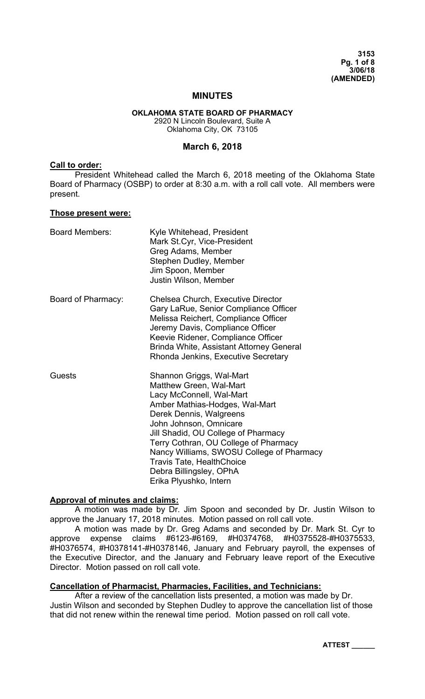## **MINUTES**

# **OKLAHOMA STATE BOARD OF PHARMACY**

2920 N Lincoln Boulevard, Suite A Oklahoma City, OK 73105

### **March 6, 2018**

### **Call to order:**

 President Whitehead called the March 6, 2018 meeting of the Oklahoma State Board of Pharmacy (OSBP) to order at 8:30 a.m. with a roll call vote. All members were present.

#### **Those present were:**

| <b>Board Members:</b> | Kyle Whitehead, President<br>Mark St.Cyr, Vice-President<br>Greg Adams, Member<br>Stephen Dudley, Member<br>Jim Spoon, Member<br>Justin Wilson, Member                                                                                                                                                                                                                                       |
|-----------------------|----------------------------------------------------------------------------------------------------------------------------------------------------------------------------------------------------------------------------------------------------------------------------------------------------------------------------------------------------------------------------------------------|
| Board of Pharmacy:    | Chelsea Church, Executive Director<br>Gary LaRue, Senior Compliance Officer<br>Melissa Reichert, Compliance Officer<br>Jeremy Davis, Compliance Officer<br>Keevie Ridener, Compliance Officer<br>Brinda White, Assistant Attorney General<br>Rhonda Jenkins, Executive Secretary                                                                                                             |
| Guests                | Shannon Griggs, Wal-Mart<br>Matthew Green, Wal-Mart<br>Lacy McConnell, Wal-Mart<br>Amber Mathias-Hodges, Wal-Mart<br>Derek Dennis, Walgreens<br>John Johnson, Omnicare<br>Jill Shadid, OU College of Pharmacy<br>Terry Cothran, OU College of Pharmacy<br>Nancy Williams, SWOSU College of Pharmacy<br><b>Travis Tate, HealthChoice</b><br>Debra Billingsley, OPhA<br>Erika Plyushko, Intern |

## **Approval of minutes and claims:**

 A motion was made by Dr. Jim Spoon and seconded by Dr. Justin Wilson to approve the January 17, 2018 minutes. Motion passed on roll call vote.

 A motion was made by Dr. Greg Adams and seconded by Dr. Mark St. Cyr to approve expense claims #6123-#6169, #H0374768, #H0375528-#H0375533, #H0376574, #H0378141-#H0378146, January and February payroll, the expenses of the Executive Director, and the January and February leave report of the Executive Director. Motion passed on roll call vote.

## **Cancellation of Pharmacist, Pharmacies, Facilities, and Technicians:**

 After a review of the cancellation lists presented, a motion was made by Dr. Justin Wilson and seconded by Stephen Dudley to approve the cancellation list of those that did not renew within the renewal time period. Motion passed on roll call vote.

**ATTEST \_\_\_\_\_\_**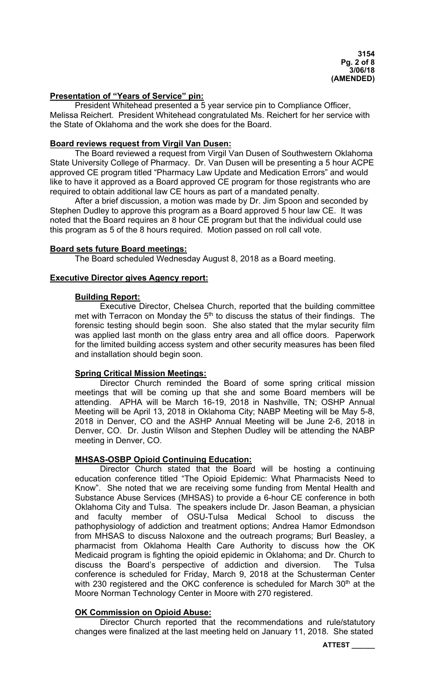## **Presentation of "Years of Service" pin:**

President Whitehead presented a 5 year service pin to Compliance Officer, Melissa Reichert. President Whitehead congratulated Ms. Reichert for her service with the State of Oklahoma and the work she does for the Board.

### **Board reviews request from Virgil Van Dusen:**

 The Board reviewed a request from Virgil Van Dusen of Southwestern Oklahoma State University College of Pharmacy. Dr. Van Dusen will be presenting a 5 hour ACPE approved CE program titled "Pharmacy Law Update and Medication Errors" and would like to have it approved as a Board approved CE program for those registrants who are required to obtain additional law CE hours as part of a mandated penalty.

 After a brief discussion, a motion was made by Dr. Jim Spoon and seconded by Stephen Dudley to approve this program as a Board approved 5 hour law CE. It was noted that the Board requires an 8 hour CE program but that the individual could use this program as 5 of the 8 hours required. Motion passed on roll call vote.

### **Board sets future Board meetings:**

The Board scheduled Wednesday August 8, 2018 as a Board meeting.

## **Executive Director gives Agency report:**

## **Building Report:**

 Executive Director, Chelsea Church, reported that the building committee met with Terracon on Monday the  $5<sup>th</sup>$  to discuss the status of their findings. The forensic testing should begin soon. She also stated that the mylar security film was applied last month on the glass entry area and all office doors. Paperwork for the limited building access system and other security measures has been filed and installation should begin soon.

## **Spring Critical Mission Meetings:**

 Director Church reminded the Board of some spring critical mission meetings that will be coming up that she and some Board members will be attending. APHA will be March 16-19, 2018 in Nashville, TN; OSHP Annual Meeting will be April 13, 2018 in Oklahoma City; NABP Meeting will be May 5-8, 2018 in Denver, CO and the ASHP Annual Meeting will be June 2-6, 2018 in Denver, CO. Dr. Justin Wilson and Stephen Dudley will be attending the NABP meeting in Denver, CO.

## **MHSAS-OSBP Opioid Continuing Education:**

 Director Church stated that the Board will be hosting a continuing education conference titled "The Opioid Epidemic: What Pharmacists Need to Know". She noted that we are receiving some funding from Mental Health and Substance Abuse Services (MHSAS) to provide a 6-hour CE conference in both Oklahoma City and Tulsa. The speakers include Dr. Jason Beaman, a physician and faculty member of OSU-Tulsa Medical School to discuss the pathophysiology of addiction and treatment options; Andrea Hamor Edmondson from MHSAS to discuss Naloxone and the outreach programs; Burl Beasley, a pharmacist from Oklahoma Health Care Authority to discuss how the OK Medicaid program is fighting the opioid epidemic in Oklahoma; and Dr. Church to discuss the Board's perspective of addiction and diversion. The Tulsa conference is scheduled for Friday, March 9, 2018 at the Schusterman Center with 230 registered and the OKC conference is scheduled for March 30<sup>th</sup> at the Moore Norman Technology Center in Moore with 270 registered.

## **OK Commission on Opioid Abuse:**

 Director Church reported that the recommendations and rule/statutory changes were finalized at the last meeting held on January 11, 2018. She stated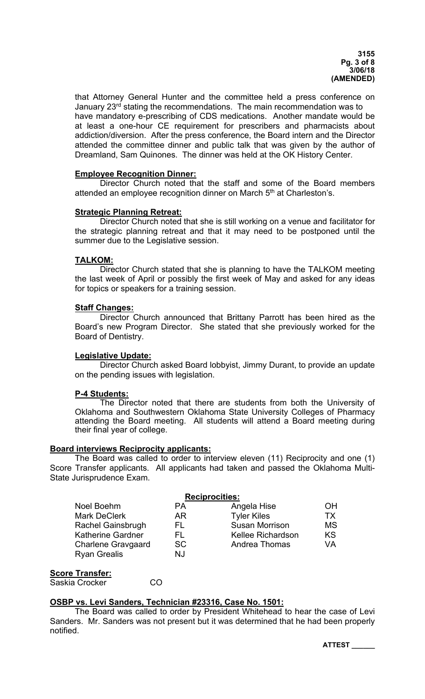that Attorney General Hunter and the committee held a press conference on January 23<sup>rd</sup> stating the recommendations. The main recommendation was to have mandatory e-prescribing of CDS medications. Another mandate would be at least a one-hour CE requirement for prescribers and pharmacists about addiction/diversion. After the press conference, the Board intern and the Director attended the committee dinner and public talk that was given by the author of Dreamland, Sam Quinones. The dinner was held at the OK History Center.

### **Employee Recognition Dinner:**

 Director Church noted that the staff and some of the Board members attended an employee recognition dinner on March 5<sup>th</sup> at Charleston's.

### **Strategic Planning Retreat:**

 Director Church noted that she is still working on a venue and facilitator for the strategic planning retreat and that it may need to be postponed until the summer due to the Legislative session.

### **TALKOM:**

 Director Church stated that she is planning to have the TALKOM meeting the last week of April or possibly the first week of May and asked for any ideas for topics or speakers for a training session.

### **Staff Changes:**

 Director Church announced that Brittany Parrott has been hired as the Board's new Program Director. She stated that she previously worked for the Board of Dentistry.

#### **Legislative Update:**

 Director Church asked Board lobbyist, Jimmy Durant, to provide an update on the pending issues with legislation.

#### **P-4 Students:**

The Director noted that there are students from both the University of Oklahoma and Southwestern Oklahoma State University Colleges of Pharmacy attending the Board meeting. All students will attend a Board meeting during their final year of college.

#### **Board interviews Reciprocity applicants:**

 The Board was called to order to interview eleven (11) Reciprocity and one (1) Score Transfer applicants. All applicants had taken and passed the Oklahoma Multi-State Jurisprudence Exam.

|                           | <b>Reciprocities:</b> |                       |           |
|---------------------------|-----------------------|-----------------------|-----------|
| Noel Boehm                | <b>PA</b>             | Angela Hise           | OΗ        |
| <b>Mark DeClerk</b>       | AR.                   | <b>Tyler Kiles</b>    | тх        |
| <b>Rachel Gainsbrugh</b>  | FL.                   | <b>Susan Morrison</b> | <b>MS</b> |
| <b>Katherine Gardner</b>  | FL.                   | Kellee Richardson     | KS        |
| <b>Charlene Gravgaard</b> | <sub>SC</sub>         | Andrea Thomas         | VA        |
| <b>Ryan Grealis</b>       | NJ                    |                       |           |

### **Score Transfer:**

Saskia Crocker CO

## **OSBP vs. Levi Sanders, Technician #23316, Case No. 1501:**

 The Board was called to order by President Whitehead to hear the case of Levi Sanders. Mr. Sanders was not present but it was determined that he had been properly notified.

**ATTEST \_\_\_\_\_\_**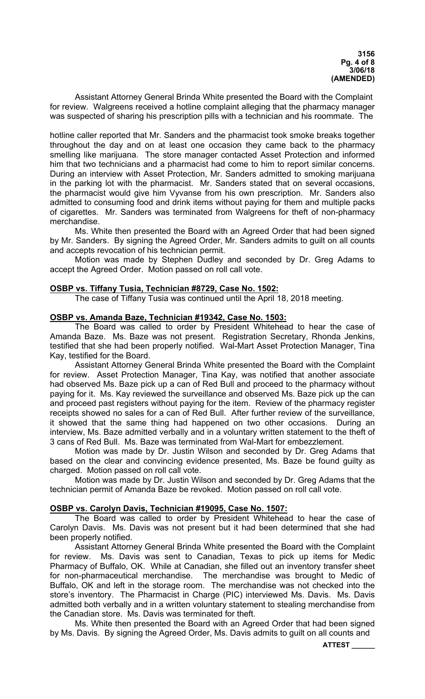Assistant Attorney General Brinda White presented the Board with the Complaint for review. Walgreens received a hotline complaint alleging that the pharmacy manager was suspected of sharing his prescription pills with a technician and his roommate. The

hotline caller reported that Mr. Sanders and the pharmacist took smoke breaks together throughout the day and on at least one occasion they came back to the pharmacy smelling like marijuana. The store manager contacted Asset Protection and informed him that two technicians and a pharmacist had come to him to report similar concerns. During an interview with Asset Protection, Mr. Sanders admitted to smoking marijuana in the parking lot with the pharmacist. Mr. Sanders stated that on several occasions, the pharmacist would give him Vyvanse from his own prescription. Mr. Sanders also admitted to consuming food and drink items without paying for them and multiple packs of cigarettes. Mr. Sanders was terminated from Walgreens for theft of non-pharmacy merchandise.

 Ms. White then presented the Board with an Agreed Order that had been signed by Mr. Sanders. By signing the Agreed Order, Mr. Sanders admits to guilt on all counts and accepts revocation of his technician permit.

 Motion was made by Stephen Dudley and seconded by Dr. Greg Adams to accept the Agreed Order. Motion passed on roll call vote.

### **OSBP vs. Tiffany Tusia, Technician #8729, Case No. 1502:**

The case of Tiffany Tusia was continued until the April 18, 2018 meeting.

### **OSBP vs. Amanda Baze, Technician #19342, Case No. 1503:**

 The Board was called to order by President Whitehead to hear the case of Amanda Baze. Ms. Baze was not present. Registration Secretary, Rhonda Jenkins, testified that she had been properly notified. Wal-Mart Asset Protection Manager, Tina Kay, testified for the Board.

 Assistant Attorney General Brinda White presented the Board with the Complaint for review. Asset Protection Manager, Tina Kay, was notified that another associate had observed Ms. Baze pick up a can of Red Bull and proceed to the pharmacy without paying for it. Ms. Kay reviewed the surveillance and observed Ms. Baze pick up the can and proceed past registers without paying for the item. Review of the pharmacy register receipts showed no sales for a can of Red Bull. After further review of the surveillance, it showed that the same thing had happened on two other occasions. During an interview, Ms. Baze admitted verbally and in a voluntary written statement to the theft of 3 cans of Red Bull. Ms. Baze was terminated from Wal-Mart for embezzlement.

 Motion was made by Dr. Justin Wilson and seconded by Dr. Greg Adams that based on the clear and convincing evidence presented, Ms. Baze be found guilty as charged. Motion passed on roll call vote.

 Motion was made by Dr. Justin Wilson and seconded by Dr. Greg Adams that the technician permit of Amanda Baze be revoked. Motion passed on roll call vote.

## **OSBP vs. Carolyn Davis, Technician #19095, Case No. 1507:**

 The Board was called to order by President Whitehead to hear the case of Carolyn Davis. Ms. Davis was not present but it had been determined that she had been properly notified.

 Assistant Attorney General Brinda White presented the Board with the Complaint for review. Ms. Davis was sent to Canadian, Texas to pick up items for Medic Pharmacy of Buffalo, OK. While at Canadian, she filled out an inventory transfer sheet for non-pharmaceutical merchandise. The merchandise was brought to Medic of Buffalo, OK and left in the storage room. The merchandise was not checked into the store's inventory. The Pharmacist in Charge (PIC) interviewed Ms. Davis. Ms. Davis admitted both verbally and in a written voluntary statement to stealing merchandise from the Canadian store. Ms. Davis was terminated for theft.

 Ms. White then presented the Board with an Agreed Order that had been signed by Ms. Davis. By signing the Agreed Order, Ms. Davis admits to guilt on all counts and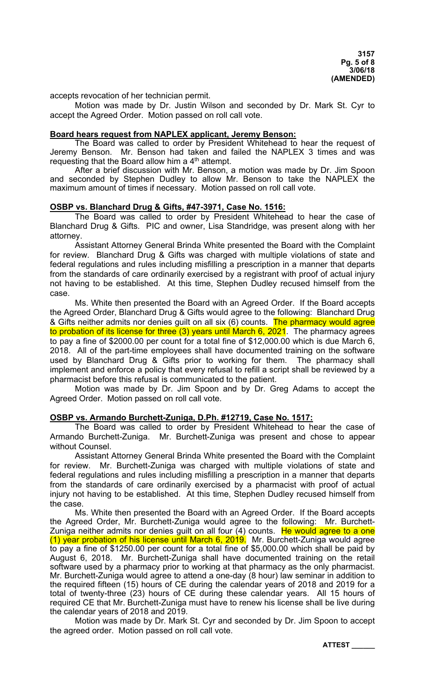accepts revocation of her technician permit.

 Motion was made by Dr. Justin Wilson and seconded by Dr. Mark St. Cyr to accept the Agreed Order. Motion passed on roll call vote.

#### **Board hears request from NAPLEX applicant, Jeremy Benson:**

 The Board was called to order by President Whitehead to hear the request of Jeremy Benson. Mr. Benson had taken and failed the NAPLEX 3 times and was requesting that the Board allow him a 4<sup>th</sup> attempt.

 After a brief discussion with Mr. Benson, a motion was made by Dr. Jim Spoon and seconded by Stephen Dudley to allow Mr. Benson to take the NAPLEX the maximum amount of times if necessary. Motion passed on roll call vote.

#### **OSBP vs. Blanchard Drug & Gifts, #47-3971, Case No. 1516:**

 The Board was called to order by President Whitehead to hear the case of Blanchard Drug & Gifts. PIC and owner, Lisa Standridge, was present along with her attorney.

 Assistant Attorney General Brinda White presented the Board with the Complaint for review. Blanchard Drug & Gifts was charged with multiple violations of state and federal regulations and rules including misfilling a prescription in a manner that departs from the standards of care ordinarily exercised by a registrant with proof of actual injury not having to be established. At this time, Stephen Dudley recused himself from the case.

 Ms. White then presented the Board with an Agreed Order. If the Board accepts the Agreed Order, Blanchard Drug & Gifts would agree to the following: Blanchard Drug & Gifts neither admits nor denies guilt on all six (6) counts. The pharmacy would agree to probation of its license for three (3) years until March 6, 2021. The pharmacy agrees to pay a fine of \$2000.00 per count for a total fine of \$12,000.00 which is due March 6, 2018. All of the part-time employees shall have documented training on the software used by Blanchard Drug & Gifts prior to working for them. The pharmacy shall implement and enforce a policy that every refusal to refill a script shall be reviewed by a pharmacist before this refusal is communicated to the patient.

 Motion was made by Dr. Jim Spoon and by Dr. Greg Adams to accept the Agreed Order. Motion passed on roll call vote.

### **OSBP vs. Armando Burchett-Zuniga, D.Ph. #12719, Case No. 1517:**

 The Board was called to order by President Whitehead to hear the case of Armando Burchett-Zuniga. Mr. Burchett-Zuniga was present and chose to appear without Counsel.

 Assistant Attorney General Brinda White presented the Board with the Complaint for review. Mr. Burchett-Zuniga was charged with multiple violations of state and federal regulations and rules including misfilling a prescription in a manner that departs from the standards of care ordinarily exercised by a pharmacist with proof of actual injury not having to be established. At this time, Stephen Dudley recused himself from the case.

 Ms. White then presented the Board with an Agreed Order. If the Board accepts the Agreed Order, Mr. Burchett-Zuniga would agree to the following: Mr. Burchett-Zuniga neither admits nor denies guilt on all four (4) counts. <mark>He would agree to a one</mark> (1) year probation of his license until March 6, 2019. Mr. Burchett-Zuniga would agree to pay a fine of \$1250.00 per count for a total fine of \$5,000.00 which shall be paid by August 6, 2018. Mr. Burchett-Zuniga shall have documented training on the retail software used by a pharmacy prior to working at that pharmacy as the only pharmacist. Mr. Burchett-Zuniga would agree to attend a one-day (8 hour) law seminar in addition to the required fifteen (15) hours of CE during the calendar years of 2018 and 2019 for a total of twenty-three (23) hours of CE during these calendar years. All 15 hours of required CE that Mr. Burchett-Zuniga must have to renew his license shall be live during the calendar years of 2018 and 2019.

 Motion was made by Dr. Mark St. Cyr and seconded by Dr. Jim Spoon to accept the agreed order. Motion passed on roll call vote.

**ATTEST \_\_\_\_\_\_**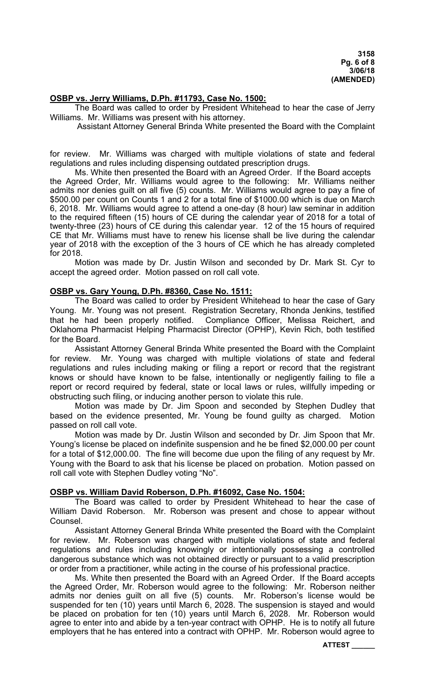### **OSBP vs. Jerry Williams, D.Ph. #11793, Case No. 1500:**

 The Board was called to order by President Whitehead to hear the case of Jerry Williams. Mr. Williams was present with his attorney.

Assistant Attorney General Brinda White presented the Board with the Complaint

for review. Mr. Williams was charged with multiple violations of state and federal regulations and rules including dispensing outdated prescription drugs.

 Ms. White then presented the Board with an Agreed Order. If the Board accepts the Agreed Order, Mr. Williams would agree to the following: Mr. Williams neither admits nor denies guilt on all five (5) counts. Mr. Williams would agree to pay a fine of \$500.00 per count on Counts 1 and 2 for a total fine of \$1000.00 which is due on March 6, 2018. Mr. Williams would agree to attend a one-day (8 hour) law seminar in addition to the required fifteen (15) hours of CE during the calendar year of 2018 for a total of twenty-three (23) hours of CE during this calendar year. 12 of the 15 hours of required CE that Mr. Williams must have to renew his license shall be live during the calendar year of 2018 with the exception of the 3 hours of CE which he has already completed for 2018.

 Motion was made by Dr. Justin Wilson and seconded by Dr. Mark St. Cyr to accept the agreed order. Motion passed on roll call vote.

### **OSBP vs. Gary Young, D.Ph. #8360, Case No. 1511:**

 The Board was called to order by President Whitehead to hear the case of Gary Young. Mr. Young was not present. Registration Secretary, Rhonda Jenkins, testified that he had been properly notified. Compliance Officer, Melissa Reichert, and Oklahoma Pharmacist Helping Pharmacist Director (OPHP), Kevin Rich, both testified for the Board.

 Assistant Attorney General Brinda White presented the Board with the Complaint for review. Mr. Young was charged with multiple violations of state and federal regulations and rules including making or filing a report or record that the registrant knows or should have known to be false, intentionally or negligently failing to file a report or record required by federal, state or local laws or rules, willfully impeding or obstructing such filing, or inducing another person to violate this rule.

 Motion was made by Dr. Jim Spoon and seconded by Stephen Dudley that based on the evidence presented, Mr. Young be found guilty as charged. Motion passed on roll call vote.

 Motion was made by Dr. Justin Wilson and seconded by Dr. Jim Spoon that Mr. Young's license be placed on indefinite suspension and he be fined \$2,000.00 per count for a total of \$12,000.00. The fine will become due upon the filing of any request by Mr. Young with the Board to ask that his license be placed on probation. Motion passed on roll call vote with Stephen Dudley voting "No".

## **OSBP vs. William David Roberson, D.Ph. #16092, Case No. 1504:**

 The Board was called to order by President Whitehead to hear the case of William David Roberson. Mr. Roberson was present and chose to appear without Counsel.

 Assistant Attorney General Brinda White presented the Board with the Complaint for review. Mr. Roberson was charged with multiple violations of state and federal regulations and rules including knowingly or intentionally possessing a controlled dangerous substance which was not obtained directly or pursuant to a valid prescription or order from a practitioner, while acting in the course of his professional practice.

 Ms. White then presented the Board with an Agreed Order. If the Board accepts the Agreed Order, Mr. Roberson would agree to the following: Mr. Roberson neither admits nor denies guilt on all five (5) counts. Mr. Roberson's license would be suspended for ten (10) years until March 6, 2028. The suspension is stayed and would be placed on probation for ten (10) years until March 6, 2028. Mr. Roberson would agree to enter into and abide by a ten-year contract with OPHP. He is to notify all future employers that he has entered into a contract with OPHP. Mr. Roberson would agree to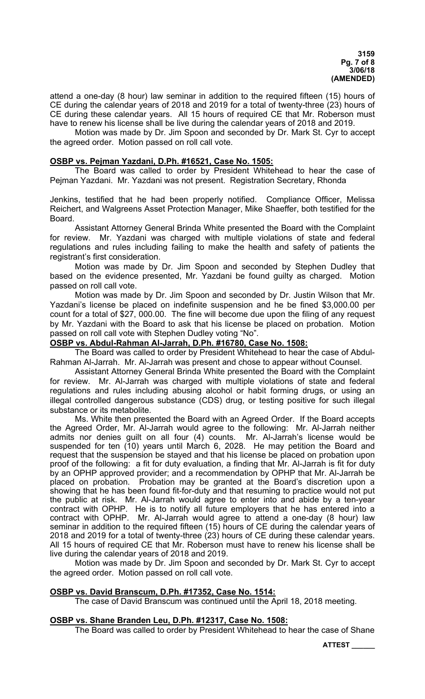attend a one-day (8 hour) law seminar in addition to the required fifteen (15) hours of CE during the calendar years of 2018 and 2019 for a total of twenty-three (23) hours of CE during these calendar years. All 15 hours of required CE that Mr. Roberson must have to renew his license shall be live during the calendar years of 2018 and 2019.

 Motion was made by Dr. Jim Spoon and seconded by Dr. Mark St. Cyr to accept the agreed order. Motion passed on roll call vote.

### **OSBP vs. Pejman Yazdani, D.Ph. #16521, Case No. 1505:**

 The Board was called to order by President Whitehead to hear the case of Pejman Yazdani. Mr. Yazdani was not present. Registration Secretary, Rhonda

Jenkins, testified that he had been properly notified. Compliance Officer, Melissa Reichert, and Walgreens Asset Protection Manager, Mike Shaeffer, both testified for the Board.

 Assistant Attorney General Brinda White presented the Board with the Complaint for review. Mr. Yazdani was charged with multiple violations of state and federal regulations and rules including failing to make the health and safety of patients the registrant's first consideration.

 Motion was made by Dr. Jim Spoon and seconded by Stephen Dudley that based on the evidence presented, Mr. Yazdani be found guilty as charged. Motion passed on roll call vote.

 Motion was made by Dr. Jim Spoon and seconded by Dr. Justin Wilson that Mr. Yazdani's license be placed on indefinite suspension and he be fined \$3,000.00 per count for a total of \$27, 000.00. The fine will become due upon the filing of any request by Mr. Yazdani with the Board to ask that his license be placed on probation. Motion passed on roll call vote with Stephen Dudley voting "No".

# **OSBP vs. Abdul-Rahman Al-Jarrah, D.Ph. #16780, Case No. 1508:**

 The Board was called to order by President Whitehead to hear the case of Abdul-Rahman Al-Jarrah. Mr. Al-Jarrah was present and chose to appear without Counsel.

 Assistant Attorney General Brinda White presented the Board with the Complaint for review. Mr. Al-Jarrah was charged with multiple violations of state and federal regulations and rules including abusing alcohol or habit forming drugs, or using an illegal controlled dangerous substance (CDS) drug, or testing positive for such illegal substance or its metabolite.

 Ms. White then presented the Board with an Agreed Order. If the Board accepts the Agreed Order, Mr. Al-Jarrah would agree to the following: Mr. Al-Jarrah neither admits nor denies guilt on all four (4) counts. Mr. Al-Jarrah's license would be suspended for ten (10) years until March 6, 2028. He may petition the Board and request that the suspension be stayed and that his license be placed on probation upon proof of the following: a fit for duty evaluation, a finding that Mr. Al-Jarrah is fit for duty by an OPHP approved provider; and a recommendation by OPHP that Mr. Al-Jarrah be placed on probation. Probation may be granted at the Board's discretion upon a showing that he has been found fit-for-duty and that resuming to practice would not put the public at risk. Mr. Al-Jarrah would agree to enter into and abide by a ten-year contract with OPHP. He is to notify all future employers that he has entered into a contract with OPHP. Mr. Al-Jarrah would agree to attend a one-day (8 hour) law seminar in addition to the required fifteen (15) hours of CE during the calendar years of 2018 and 2019 for a total of twenty-three (23) hours of CE during these calendar years. All 15 hours of required CE that Mr. Roberson must have to renew his license shall be live during the calendar years of 2018 and 2019.

 Motion was made by Dr. Jim Spoon and seconded by Dr. Mark St. Cyr to accept the agreed order. Motion passed on roll call vote.

## **OSBP vs. David Branscum, D.Ph. #17352, Case No. 1514:**

The case of David Branscum was continued until the April 18, 2018 meeting.

#### **OSBP vs. Shane Branden Leu, D.Ph. #12317, Case No. 1508:**

The Board was called to order by President Whitehead to hear the case of Shane